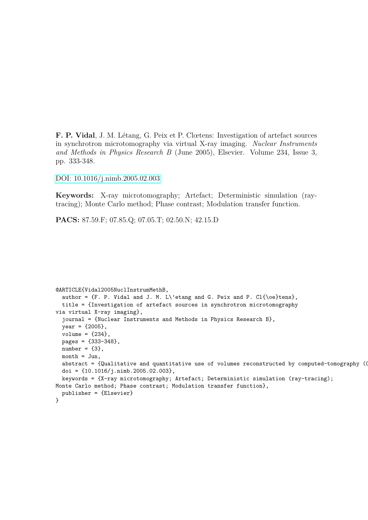**F. P. Vidal**, J. M. Létang, G. Peix et P. Clœtens: Investigation of artefact sources in synchrotron microtomography via virtual X-ray imaging. *Nuclear Instruments and Methods in Physics Research B* (June 2005), Elsevier. Volume 234, Issue 3, pp. 333-348.

[DOI: 10.1016/j.nimb.2005.02.003](http://dx.doi.org/10.1016/j.nimb.2005.02.003)

**Keywords:** X-ray microtomography; Artefact; Deterministic simulation (raytracing); Monte Carlo method; Phase contrast; Modulation transfer function.

**PACS:** 87.59.F; 07.85.Q; 07.05.T; 02.50.N; 42.15.D

```
@ARTICLE{Vidal2005NuclInstrumMethB,
author = {F. P. Vidal and J. M. L\'etang and G. Peix and P. Cl({oe}tens},title = {Investigation of artefact sources in synchrotron microtomography
via virtual X-ray imaging},
journal = {Nuclear Instruments and Methods in Physics Research B},
year = {2005},
volume = {234},
pages = {333-348},
number = {3},month = Jun,<br>abstract = {Qualitative and quantitative use of volumes reconstructed by computed-tomography ((
abstract = {Qualitative and quantitative use of volumes reconstructed by computed-tomography ((
doi = \{10.1016/i \cdot \text{nimb.} 2005.02.003\}.keywords = {X-ray microtomography; Artefact; Deterministic simulation (ray-tracing);
Monte Carlo method; Phase contrast; Modulation transfer function},
publisher = {Elsevier}
}
```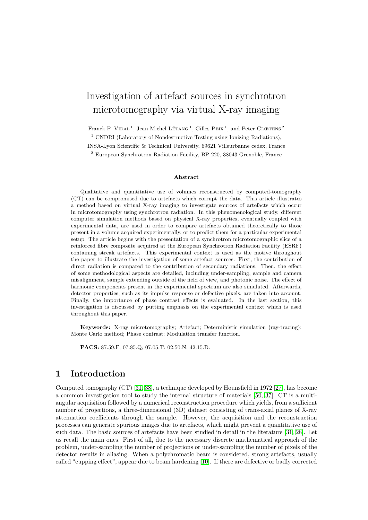# Investigation of artefact sources in synchrotron microtomography via virtual X-ray imaging

Franck P. VIDAL<sup>1</sup>, Jean Michel LÉTANG<sup>1</sup>, Gilles PEIX<sup>1</sup>, and Peter CLŒTENS<sup>2</sup>

<sup>1</sup> CNDRI (Laboratory of Nondestructive Testing using Ionizing Radiations),

INSA-Lyon Scientific & Technical University, 69621 Villeurbanne cedex, France

<sup>2</sup> European Synchrotron Radiation Facility, BP 220, 38043 Grenoble, France

#### **Abstract**

Qualitative and quantitative use of volumes reconstructed by computed-tomography (CT) can be compromised due to artefacts which corrupt the data. This article illustrates a method based on virtual X-ray imaging to investigate sources of artefacts which occur in microtomography using synchrotron radiation. In this phenomenological study, different computer simulation methods based on physical X-ray properties, eventually coupled with experimental data, are used in order to compare artefacts obtained theoretically to those present in a volume acquired experimentally, or to predict them for a particular experimental setup. The article begins with the presentation of a synchrotron microtomographic slice of a reinforced fibre composite acquired at the European Synchrotron Radiation Facility (ESRF) containing streak artefacts. This experimental context is used as the motive throughout the paper to illustrate the investigation of some artefact sources. First, the contribution of direct radiation is compared to the contribution of secondary radiations. Then, the effect of some methodological aspects are detailed, including under-sampling, sample and camera misalignment, sample extending outside of the field of view, and photonic noise. The effect of harmonic components present in the experimental spectrum are also simulated. Afterwards, detector properties, such as its impulse response or defective pixels, are taken into account. Finally, the importance of phase contrast effects is evaluated. In the last section, this investigation is discussed by putting emphasis on the experimental context which is used throughout this paper.

**Keywords:** X-ray microtomography; Artefact; Deterministic simulation (ray-tracing); Monte Carlo method; Phase contrast; Modulation transfer function.

**PACS:** 87.59.F; 07.85.Q; 07.05.T; 02.50.N; 42.15.D.

## **1 Introduction**

Computed tomography (CT) [\[31,](#page-20-0) [38\]](#page-20-1), a technique developed by Hounsfield in 1972 [\[27\]](#page-19-0), has become a common investigation tool to study the internal structure of materials [\[50,](#page-21-0) [37\]](#page-20-2). CT is a multiangular acquisition followed by a numerical reconstruction procedure which yields, from a sufficient number of projections, a three-dimensional (3D) dataset consisting of trans-axial planes of X-ray attenuation coefficients through the sample. However, the acquisition and the reconstruction processes can generate spurious images due to artefacts, which might prevent a quantitative use of such data. The basic sources of artefacts have been studied in detail in the literature [\[31,](#page-20-0) [28\]](#page-19-1). Let us recall the main ones. First of all, due to the necessary discrete mathematical approach of the problem, under-sampling the number of projections or under-sampling the number of pixels of the detector results in aliasing. When a polychromatic beam is considered, strong artefacts, usually called "cupping effect", appear due to beam hardening [\[10\]](#page-18-0). If there are defective or badly corrected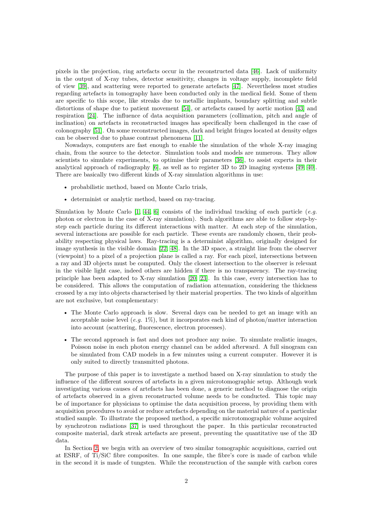pixels in the projection, ring artefacts occur in the reconstructed data [\[46\]](#page-21-1). Lack of uniformity in the output of X-ray tubes, detector sensitivity, changes in voltage supply, incomplete field of view [\[39\]](#page-20-3), and scattering were reported to generate artefacts [\[47\]](#page-21-2). Nevertheless most studies regarding artefacts in tomography have been conducted only in the medical field. Some of them are specific to this scope, like streaks due to metallic implants, boundary splitting and subtle distortions of shape due to patient movement [\[54\]](#page-21-3), or artefacts caused by aortic motion [\[43\]](#page-20-4) and respiration [\[24\]](#page-19-2). The influence of data acquisition parameters (collimation, pitch and angle of inclination) on artefacts in reconstructed images has specifically been challenged in the case of colonography [\[51\]](#page-21-4). On some reconstructed images, dark and bright fringes located at density edges can be observed due to phase contrast phenomena [\[11\]](#page-18-1).

Nowadays, computers are fast enough to enable the simulation of the whole X-ray imaging chain, from the source to the detector. Simulation tools and models are numerous. They allow scientists to simulate experiments, to optimise their parameters [\[36\]](#page-20-5), to assist experts in their analytical approach of radiography [\[6\]](#page-18-2), as well as to register 3D to 2D imaging systems [\[49,](#page-21-5) [40\]](#page-20-6). There are basically two different kinds of X-ray simulation algorithms in use:

- probabilistic method, based on Monte Carlo trials,
- determinist or analytic method, based on ray-tracing.

Simulation by Monte Carlo [\[1,](#page-18-3) [44,](#page-20-7) [6\]](#page-18-2) consists of the individual tracking of each particle (*e.g.* photon or electron in the case of X-ray simulation). Such algorithms are able to follow step-bystep each particle during its different interactions with matter. At each step of the simulation, several interactions are possible for each particle. These events are randomly chosen, their probability respecting physical laws. Ray-tracing is a determinist algorithm, originally designed for image synthesis in the visible domain [\[22,](#page-19-3) [48\]](#page-21-6). In the 3D space, a straight line from the observer (viewpoint) to a pixel of a projection plane is called a ray. For each pixel, intersections between a ray and 3D objects must be computed. Only the closest intersection to the observer is relevant in the visible light case, indeed others are hidden if there is no transparency. The ray-tracing principle has been adapted to X-ray simulation [\[20,](#page-19-4) [23\]](#page-19-5). In this case, every intersection has to be considered. This allows the computation of radiation attenuation, considering the thickness crossed by a ray into objects characterised by their material properties. The two kinds of algorithm are not exclusive, but complementary:

- The Monte Carlo approach is slow. Several days can be needed to get an image with an acceptable noise level  $(e.g. 1\%)$ , but it incorporates each kind of photon/matter interaction into account (scattering, fluorescence, electron processes).
- The second approach is fast and does not produce any noise. To simulate realistic images, Poisson noise in each photon energy channel can be added afterward. A full sinogram can be simulated from CAD models in a few minutes using a current computer. However it is only suited to directly transmitted photons.

The purpose of this paper is to investigate a method based on X-ray simulation to study the influence of the different sources of artefacts in a given microtomographic setup. Although work investigating various causes of artefacts has been done, a generic method to diagnose the origin of artefacts observed in a given reconstructed volume needs to be conducted. This topic may be of importance for physicians to optimise the data acquisition process, by providing them with acquisition procedures to avoid or reduce artefacts depending on the material nature of a particular studied sample. To illustrate the proposed method, a specific microtomographic volume acquired by synchrotron radiations [\[37\]](#page-20-2) is used throughout the paper. In this particular reconstructed composite material, dark streak artefacts are present, preventing the quantitative use of the 3D data.

In Section [2,](#page-3-0) we begin with an overview of two similar tomographic acquisitions, carried out at ESRF, of Ti/SiC fibre composites. In one sample, the fibre's core is made of carbon while in the second it is made of tungsten. While the reconstruction of the sample with carbon cores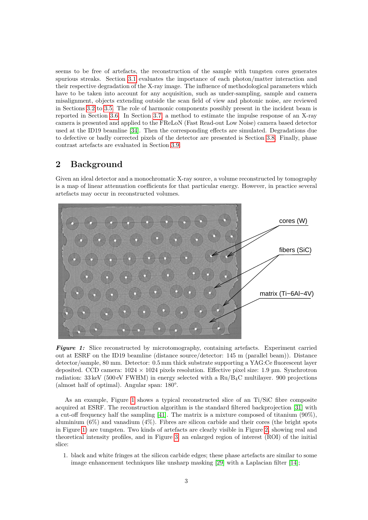seems to be free of artefacts, the reconstruction of the sample with tungsten cores generates spurious streaks. Section [3.1](#page-5-0) evaluates the importance of each photon/matter interaction and their respective degradation of the X-ray image. The influence of methodological parameters which have to be taken into account for any acquisition, such as under-sampling, sample and camera misalignment, objects extending outside the scan field of view and photonic noise, are reviewed in Sections [3.2](#page-7-0) to [3.5.](#page-9-0) The role of harmonic components possibly present in the incident beam is reported in Section [3.6.](#page-10-0) In Section [3.7,](#page-12-0) a method to estimate the impulse response of an X-ray camera is presented and applied to the FReLoN (Fast Read-out Low Noise) camera based detector used at the ID19 beamline [\[34\]](#page-20-8). Then the corresponding effects are simulated. Degradations due to defective or badly corrected pixels of the detector are presented is Section [3.8.](#page-15-0) Finally, phase contrast artefacts are evaluated in Section [3.9.](#page-15-1)

## <span id="page-3-0"></span>**2 Background**

Given an ideal detector and a monochromatic X-ray source, a volume reconstructed by tomography is a map of linear attenuation coefficients for that particular energy. However, in practice several artefacts may occur in reconstructed volumes.

<span id="page-3-1"></span>

**Figure 1:** Slice reconstructed by microtomography, containing artefacts. Experiment carried out at ESRF on the ID19 beamline (distance source/detector: 145 m (parallel beam)). Distance detector/sample, 80 mm. Detector: 0*.*5 mm thick substrate supporting a YAG:Ce fluorescent layer deposited. CCD camera:  $1024 \times 1024$  pixels resolution. Effective pixel size: 1.9 µm. Synchrotron radiation:  $33 \text{ keV}$  (500 eV FWHM) in energy selected with a  $\text{Ru/B}_{4}\text{C}$  multilayer. 900 projections (almost half of optimal). Angular span: 180°.

As an example, Figure [1](#page-3-1) shows a typical reconstructed slice of an Ti/SiC fibre composite acquired at ESRF. The reconstruction algorithm is the standard filtered backprojection [\[31\]](#page-20-0) with a cut-off frequency half the sampling [\[41\]](#page-20-9). The matrix is a mixture composed of titanium (90%), aluminium  $(6\%)$  and vanadium  $(4\%)$ . Fibres are silicon carbide and their cores (the bright spots in Figure [1\)](#page-3-1) are tungsten. Two kinds of artefacts are clearly visible in Figure [2,](#page-4-0) showing real and theoretical intensity profiles, and in Figure [3,](#page-4-1) an enlarged region of interest (ROI) of the initial slice:

1. black and white fringes at the silicon carbide edges; these phase artefacts are similar to some image enhancement techniques like unsharp masking [\[29\]](#page-19-6) with a Laplacian filter [\[14\]](#page-19-7);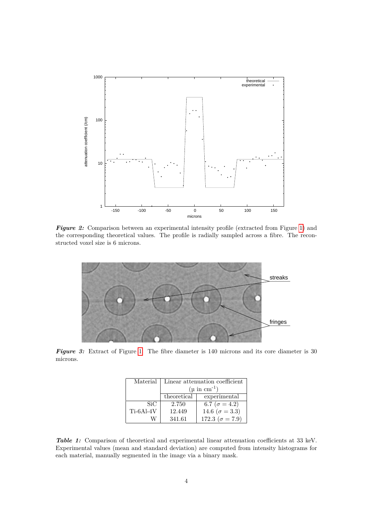<span id="page-4-0"></span>

*Figure 2:* Comparison between an experimental intensity profile (extracted from Figure [1\)](#page-3-1) and the corresponding theoretical values. The profile is radially sampled across a fibre. The reconstructed voxel size is 6 microns.

<span id="page-4-1"></span>

<span id="page-4-2"></span>**Figure 3:** Extract of Figure [1.](#page-3-1) The fibre diameter is 140 microns and its core diameter is 30 microns.

| Material    | Linear attenuation coefficient |                         |
|-------------|--------------------------------|-------------------------|
|             | $(\mu \text{ in cm}^{-1})$     |                         |
|             | theoretical                    | experimental            |
| SiC         | 2.750                          | 6.7 ( $\sigma = 4.2$ )  |
| $Ti-6Al-4V$ | 12.449                         | 14.6 ( $\sigma = 3.3$ ) |
|             | 341.61                         | 172.3 ( $\sigma$ = 7.9) |

Table 1: Comparison of theoretical and experimental linear attenuation coefficients at 33 keV. Experimental values (mean and standard deviation) are computed from intensity histograms for each material, manually segmented in the image via a binary mask.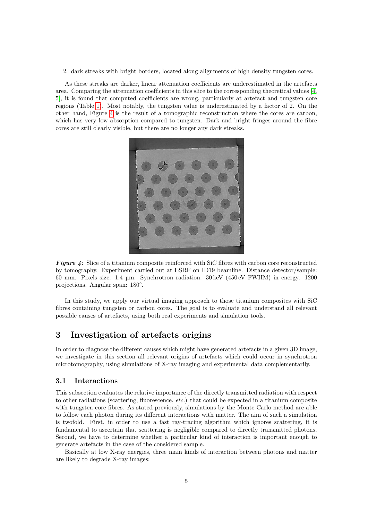2. dark streaks with bright borders, located along alignments of high density tungsten cores.

<span id="page-5-1"></span>As these streaks are darker, linear attenuation coefficients are underestimated in the artefacts area. Comparing the attenuation coefficients in this slice to the corresponding theoretical values [\[4,](#page-18-4) [5\]](#page-18-5), it is found that computed coefficients are wrong, particularly at artefact and tungsten core regions (Table [1\)](#page-4-2). Most notably, the tungsten value is underestimated by a factor of 2. On the other hand, Figure [4](#page-5-1) is the result of a tomographic reconstruction where the cores are carbon, which has very low absorption compared to tungsten. Dark and bright fringes around the fibre cores are still clearly visible, but there are no longer any dark streaks.



*Figure 4:* Slice of a titanium composite reinforced with SiC fibres with carbon core reconstructed by tomography. Experiment carried out at ESRF on ID19 beamline. Distance detector/sample: 60 mm. Pixels size: 1.4 µm. Synchrotron radiation: 30 keV (450 eV FWHM) in energy. 1200 projections. Angular span: 180°.

In this study, we apply our virtual imaging approach to those titanium composites with SiC fibres containing tungsten or carbon cores. The goal is to evaluate and understand all relevant possible causes of artefacts, using both real experiments and simulation tools.

## **3 Investigation of artefacts origins**

In order to diagnose the different causes which might have generated artefacts in a given 3D image, we investigate in this section all relevant origins of artefacts which could occur in synchrotron microtomography, using simulations of X-ray imaging and experimental data complementarily.

#### <span id="page-5-0"></span>**3.1 Interactions**

This subsection evaluates the relative importance of the directly transmitted radiation with respect to other radiations (scattering, fluorescence, *etc.*) that could be expected in a titanium composite with tungsten core fibres. As stated previously, simulations by the Monte Carlo method are able to follow each photon during its different interactions with matter. The aim of such a simulation is twofold. First, in order to use a fast ray-tracing algorithm which ignores scattering, it is fundamental to ascertain that scattering is negligible compared to directly transmitted photons. Second, we have to determine whether a particular kind of interaction is important enough to generate artefacts in the case of the considered sample.

Basically at low X-ray energies, three main kinds of interaction between photons and matter are likely to degrade X-ray images: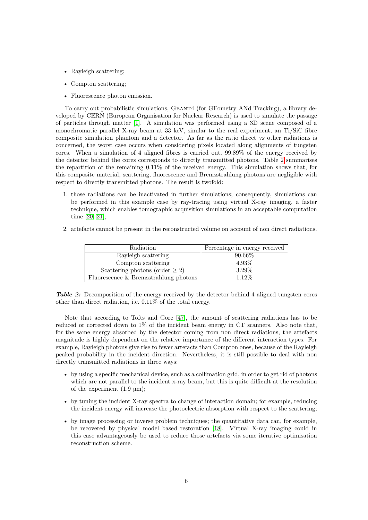- Rayleigh scattering;
- Compton scattering;
- Fluorescence photon emission.

To carry out probabilistic simulations, GEANT4 (for GEometry ANd Tracking), a library developed by CERN (European Organisation for Nuclear Research) is used to simulate the passage of particles through matter [\[1\]](#page-18-3). A simulation was performed using a 3D scene composed of a monochromatic parallel X-ray beam at 33 keV, similar to the real experiment, an Ti/SiC fibre composite simulation phantom and a detector. As far as the ratio direct vs other radiations is concerned, the worst case occurs when considering pixels located along alignments of tungsten cores. When a simulation of 4 aligned fibres is carried out, 99.89% of the energy received by the detector behind the cores corresponds to directly transmitted photons. Table [2](#page-6-0) summarises the repartition of the remaining 0.11% of the received energy. This simulation shows that, for this composite material, scattering, fluorescence and Bremsstrahlung photons are negligible with respect to directly transmitted photons. The result is twofold:

- 1. those radiations can be inactivated in further simulations; consequently, simulations can be performed in this example case by ray-tracing using virtual X-ray imaging, a faster technique, which enables tomographic acquisition simulations in an acceptable computation time [\[20,](#page-19-4) [21\]](#page-19-8);
- <span id="page-6-0"></span>2. artefacts cannot be present in the reconstructed volume on account of non direct radiations.

| Radiation                             | Percentage in energy received |
|---------------------------------------|-------------------------------|
| Rayleigh scattering                   | 90.66%                        |
| Compton scattering                    | 4.93%                         |
| Scattering photons (order $\geq 2$ )  | 3.29%                         |
| Fluorescence & Bremsstrahlung photons | 1.12\%                        |

*Table 2:* Decomposition of the energy received by the detector behind 4 aligned tungsten cores other than direct radiation, i.e. 0.11% of the total energy.

Note that according to Tofts and Gore [\[47\]](#page-21-2), the amount of scattering radiations has to be reduced or corrected down to 1% of the incident beam energy in CT scanners. Also note that, for the same energy absorbed by the detector coming from non direct radiations, the artefacts magnitude is highly dependent on the relative importance of the different interaction types. For example, Rayleigh photons give rise to fewer artefacts than Compton ones, because of the Rayleigh peaked probability in the incident direction. Nevertheless, it is still possible to deal with non directly transmitted radiations in three ways:

- by using a specific mechanical device, such as a collimation grid, in order to get rid of photons which are not parallel to the incident x-ray beam, but this is quite difficult at the resolution of the experiment (1.9 µm);
- by tuning the incident X-ray spectra to change of interaction domain; for example, reducing the incident energy will increase the photoelectric absorption with respect to the scattering;
- by image processing or inverse problem techniques; the quantitative data can, for example, be recovered by physical model based restoration [\[18\]](#page-19-9). Virtual X-ray imaging could in this case advantageously be used to reduce those artefacts via some iterative optimisation reconstruction scheme.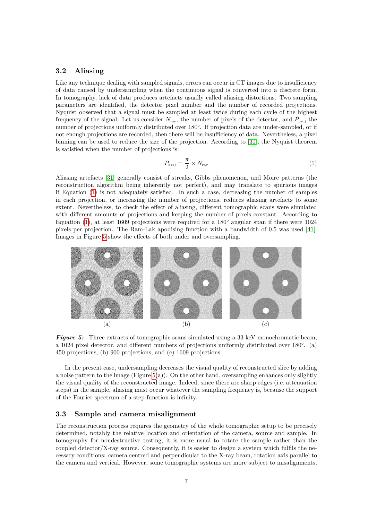#### <span id="page-7-0"></span>**3.2 Aliasing**

Like any technique dealing with sampled signals, errors can occur in CT images due to insufficiency of data caused by undersampling when the continuous signal is converted into a discrete form. In tomography, lack of data produces artefacts usually called aliasing distortions. Two sampling parameters are identified, the detector pixel number and the number of recorded projections. Nyquist observed that a signal must be sampled at least twice during each cycle of the highest frequency of the signal. Let us consider  $N_{\text{ray}}$ , the number of pixels of the detector, and  $P_{\text{proj}}$  the number of projections uniformly distributed over 180°. If projection data are under-sampled, or if not enough projections are recorded, then there will be insufficiency of data. Nevertheless, a pixel binning can be used to reduce the size of the projection. According to [\[31\]](#page-20-0), the Nyquist theorem is satisfied when the number of projections is:

<span id="page-7-1"></span>
$$
P_{\text{proj}} = \frac{\pi}{2} \times N_{\text{ray}} \tag{1}
$$

Aliasing artefacts [\[31\]](#page-20-0) generally consist of streaks, Gibbs phenomenon, and Moire patterns (the reconstruction algorithm being inherently not perfect), and may translate to spurious images if Equation [\(1\)](#page-7-1) is not adequately satisfied. In such a case, decreasing the number of samples in each projection, or increasing the number of projections, reduces aliasing artefacts to some extent. Nevertheless, to check the effect of aliasing, different tomographic scans were simulated with different amounts of projections and keeping the number of pixels constant. According to Equation [\(1\)](#page-7-1), at least 1609 projections were required for a 180° angular span if there were 1024 pixels per projection. The Ram-Lak apodising function with a bandwidth of 0.5 was used [\[41\]](#page-20-9). Images in Figure [5](#page-7-2) show the effects of both under and oversampling.

<span id="page-7-2"></span>

*Figure 5:* Three extracts of tomographic scans simulated using a 33 keV monochromatic beam, a 1024 pixel detector, and different numbers of projections uniformly distributed over 180°. (a) 450 projections, (b) 900 projections, and (c) 1609 projections.

In the present case, undersampling decreases the visual quality of reconstructed slice by adding a noise pattern to the image (Figure  $5(a)$ ). On the other hand, oversampling enhances only slightly the visual quality of the reconstructed image. Indeed, since there are sharp edges (i.e. attenuation steps) in the sample, aliasing must occur whatever the sampling frequency is, because the support of the Fourier spectrum of a step function is infinity.

#### **3.3 Sample and camera misalignment**

The reconstruction process requires the geometry of the whole tomographic setup to be precisely determined, notably the relative location and orientation of the camera, source and sample. In tomography for nondestructive testing, it is more usual to rotate the sample rather than the coupled detector/X-ray source. Consequently, it is easier to design a system which fulfils the necessary conditions: camera centred and perpendicular to the X-ray beam, rotation axis parallel to the camera and vertical. However, some tomographic systems are more subject to misalignments,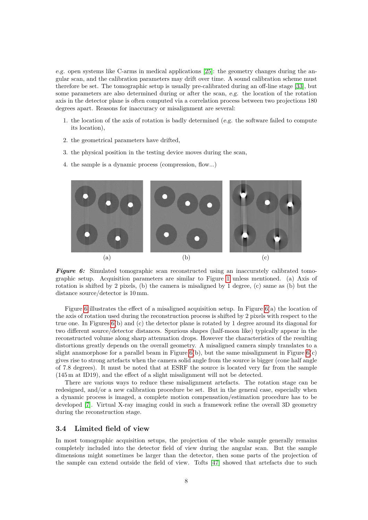e.g. open systems like C-arms in medical applications [\[25\]](#page-19-10): the geometry changes during the angular scan, and the calibration parameters may drift over time. A sound calibration scheme must therefore be set. The tomographic setup is usually pre-calibrated during an off-line stage [\[33\]](#page-20-10), but some parameters are also determined during or after the scan, e.g. the location of the rotation axis in the detector plane is often computed via a correlation process between two projections 180 degrees apart. Reasons for inaccuracy or misalignment are several:

- 1. the location of the axis of rotation is badly determined (e.g. the software failed to compute its location),
- 2. the geometrical parameters have drifted,
- 3. the physical position in the testing device moves during the scan,
- 4. the sample is a dynamic process (compression, flow...)

<span id="page-8-0"></span>

*Figure 6:* Simulated tomographic scan reconstructed using an inaccurately calibrated tomographic setup. Acquisition parameters are similar to Figure [1](#page-3-1) unless mentioned. (a) Axis of rotation is shifted by 2 pixels, (b) the camera is misaligned by 1 degree, (c) same as (b) but the distance source/detector is 10 mm.

Figure [6](#page-8-0) illustrates the effect of a misaligned acquisition setup. In Figure  $6(a)$  the location of the axis of rotation used during the reconstruction process is shifted by 2 pixels with respect to the true one. In Figures [6\(](#page-8-0)b) and (c) the detector plane is rotated by 1 degree around its diagonal for two different source/detector distances. Spurious shapes (half-moon like) typically appear in the reconstructed volume along sharp attenuation drops. However the characteristics of the resulting distortions greatly depends on the overall geometry. A misaligned camera simply translates to a slight anamorphose for a parallel beam in Figure  $6(b)$ , but the same misalignment in Figure  $6(c)$ gives rise to strong artefacts when the camera solid angle from the source is bigger (cone half angle of 7.8 degrees). It must be noted that at ESRF the source is located very far from the sample (145 m at ID19), and the effect of a slight misalignment will not be detected.

There are various ways to reduce these misalignment artefacts. The rotation stage can be redesigned, and/or a new calibration procedure be set. But in the general case, especially when a dynamic process is imaged, a complete motion compensation/estimation procedure has to be developed [\[7\]](#page-18-6). Virtual X-ray imaging could in such a framework refine the overall 3D geometry during the reconstruction stage.

#### **3.4 Limited field of view**

In most tomographic acquisition setups, the projection of the whole sample generally remains completely included into the detector field of view during the angular scan. But the sample dimensions might sometimes be larger than the detector, then some parts of the projection of the sample can extend outside the field of view. Tofts [\[47\]](#page-21-2) showed that artefacts due to such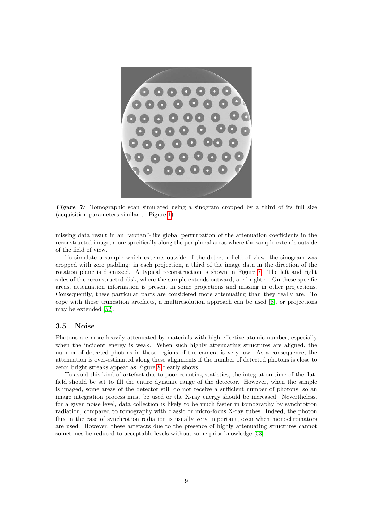<span id="page-9-1"></span>

*Figure 7:* Tomographic scan simulated using a sinogram cropped by a third of its full size (acquisition parameters similar to Figure [1\)](#page-3-1).

missing data result in an "arctan"-like global perturbation of the attenuation coefficients in the reconstructed image, more specifically along the peripheral areas where the sample extends outside of the field of view.

To simulate a sample which extends outside of the detector field of view, the sinogram was cropped with zero padding: in each projection, a third of the image data in the direction of the rotation plane is dismissed. A typical reconstruction is shown in Figure [7.](#page-9-1) The left and right sides of the reconstructed disk, where the sample extends outward, are brighter. On these specific areas, attenuation information is present in some projections and missing in other projections. Consequently, these particular parts are considered more attenuating than they really are. To cope with those truncation artefacts, a multiresolution approach can be used [\[8\]](#page-18-7), or projections may be extended [\[52\]](#page-21-7).

#### <span id="page-9-0"></span>**3.5 Noise**

Photons are more heavily attenuated by materials with high effective atomic number, especially when the incident energy is weak. When such highly attenuating structures are aligned, the number of detected photons in those regions of the camera is very low. As a consequence, the attenuation is over-estimated along these alignments if the number of detected photons is close to zero: bright streaks appear as Figure [8](#page-10-1) clearly shows.

To avoid this kind of artefact due to poor counting statistics, the integration time of the flatfield should be set to fill the entire dynamic range of the detector. However, when the sample is imaged, some areas of the detector still do not receive a sufficient number of photons, so an image integration process must be used or the X-ray energy should be increased. Nevertheless, for a given noise level, data collection is likely to be much faster in tomography by synchrotron radiation, compared to tomography with classic or micro-focus X-ray tubes. Indeed, the photon flux in the case of synchrotron radiation is usually very important, even when monochromators are used. However, these artefacts due to the presence of highly attenuating structures cannot sometimes be reduced to acceptable levels without some prior knowledge [\[53\]](#page-21-8).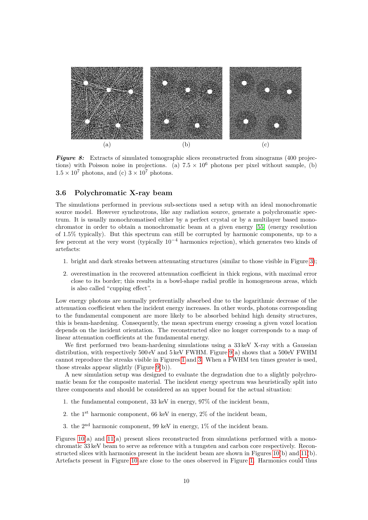<span id="page-10-1"></span>

**Figure 8:** Extracts of simulated tomographic slices reconstructed from sinograms (400 projections) with Poisson noise in projections. (a)  $7.5 \times 10^6$  photons per pixel without sample, (b)  $1.5 \times 10^7$  photons, and (c)  $3 \times 10^7$  photons.

### <span id="page-10-0"></span>**3.6 Polychromatic X-ray beam**

The simulations performed in previous sub-sections used a setup with an ideal monochromatic source model. However synchrotrons, like any radiation source, generate a polychromatic spectrum. It is usually monochromatised either by a perfect crystal or by a multilayer based monochromator in order to obtain a monochromatic beam at a given energy [\[55\]](#page-21-9) (energy resolution of 1.5% typically). But this spectrum can still be corrupted by harmonic components, up to a few percent at the very worst (typically 10<sup>−</sup><sup>4</sup> harmonics rejection), which generates two kinds of artefacts:

- 1. bright and dark streaks between attenuating structures (similar to those visible in Figure [3\)](#page-4-1);
- 2. overestimation in the recovered attenuation coefficient in thick regions, with maximal error close to its border; this results in a bowl-shape radial profile in homogeneous areas, which is also called "cupping effect".

Low energy photons are normally preferentially absorbed due to the logarithmic decrease of the attenuation coefficient when the incident energy increases. In other words, photons corresponding to the fundamental component are more likely to be absorbed behind high density structures, this is beam-hardening. Consequently, the mean spectrum energy crossing a given voxel location depends on the incident orientation. The reconstructed slice no longer corresponds to a map of linear attenuation coefficients at the fundamental energy.

We first performed two beam-hardening simulations using a 33 keV X-ray with a Gaussian distribution, with respectively 500 eV and 5 keV FWHM. Figure [9\(](#page-11-0)a) shows that a 500 eV FWHM cannot reproduce the streaks visible in Figures [1](#page-3-1) and [3.](#page-4-1) When a FWHM ten times greater is used, those streaks appear slightly (Figure [9\(](#page-11-0)b)).

A new simulation setup was designed to evaluate the degradation due to a slightly polychromatic beam for the composite material. The incident energy spectrum was heuristically split into three components and should be considered as an upper bound for the actual situation:

- 1. the fundamental component, 33 keV in energy, 97% of the incident beam,
- 2. the 1<sup>st</sup> harmonic component, 66 keV in energy,  $2\%$  of the incident beam,
- 3. the  $2<sup>nd</sup>$  harmonic component, 99 keV in energy, 1% of the incident beam.

Figures  $10(a)$  and  $11(a)$  present slices reconstructed from simulations performed with a monochromatic 33 keV beam to serve as reference with a tungsten and carbon core respectively. Reconstructed slices with harmonics present in the incident beam are shown in Figures [10\(](#page-11-1)b) and [11\(](#page-11-2)b). Artefacts present in Figure [10](#page-11-1) are close to the ones observed in Figure [1.](#page-3-1) Harmonics could thus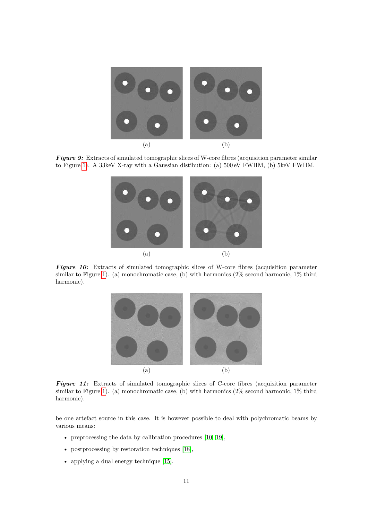<span id="page-11-0"></span>

*Figure 9:* Extracts of simulated tomographic slices of W-core fibres (acquisition parameter similar to Figure [1\)](#page-3-1). A 33keV X-ray with a Gaussian distibution: (a) 500 eV FWHM, (b) 5keV FWHM.

<span id="page-11-1"></span>

*Figure 10:* Extracts of simulated tomographic slices of W-core fibres (acquisition parameter similar to Figure [1\)](#page-3-1). (a) monochromatic case, (b) with harmonics  $(2\% \text{ second harmonic}, 1\% \text{ third})$ harmonic).

<span id="page-11-2"></span>

Figure 11: Extracts of simulated tomographic slices of C-core fibres (acquisition parameter similar to Figure [1\)](#page-3-1). (a) monochromatic case, (b) with harmonics  $(2\% \text{ second harmonic}, 1\% \text{ third})$ harmonic).

be one artefact source in this case. It is however possible to deal with polychromatic beams by various means:

- preprocessing the data by calibration procedures  $[10, 19]$  $[10, 19]$ ,
- postprocessing by restoration techniques [\[18\]](#page-19-9),
- applying a dual energy technique [\[15\]](#page-19-12).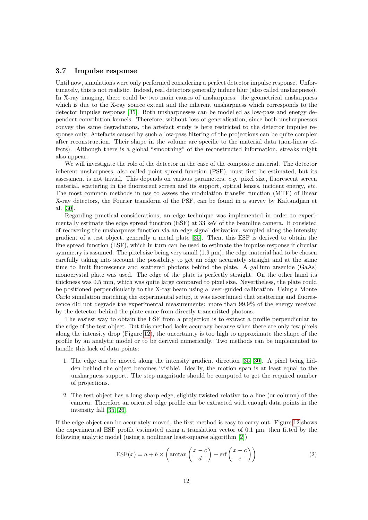#### <span id="page-12-0"></span>**3.7 Impulse response**

Until now, simulations were only performed considering a perfect detector impulse response. Unfortunately, this is not realistic. Indeed, real detectors generally induce blur (also called unsharpness). In X-ray imaging, there could be two main causes of unsharpness: the geometrical unsharpness which is due to the X-ray source extent and the inherent unsharpness which corresponds to the detector impulse response [\[35\]](#page-20-11). Both unsharpnesses can be modelled as low-pass and energy dependent convolution kernels. Therefore, without loss of generalisation, since both unsharpnesses convey the same degradations, the artefact study is here restricted to the detector impulse response only. Artefacts caused by such a low-pass filtering of the projections can be quite complex after reconstruction. Their shape in the volume are specific to the material data (non-linear effects). Although there is a global "smoothing" of the reconstructed information, streaks might also appear.

We will investigate the role of the detector in the case of the composite material. The detector inherent unsharpness, also called point spread function (PSF), must first be estimated, but its assessment is not trivial. This depends on various parameters, *e.g.* pixel size, fluorescent screen material, scattering in the fluorescent screen and its support, optical lenses, incident energy, *etc.* The most common methods in use to assess the modulation transfer function (MTF) of linear X-ray detectors, the Fourier transform of the PSF, can be found in a survey by Kaftandjian et al. [\[30\]](#page-20-12).

Regarding practical considerations, an edge technique was implemented in order to experimentally estimate the edge spread function (ESF) at 33 keV of the beamline camera. It consisted of recovering the unsharpness function via an edge signal derivation, sampled along the intensity gradient of a test object, generally a metal plate [\[35\]](#page-20-11). Then, this ESF is derived to obtain the line spread function (LSF), which in turn can be used to estimate the impulse response if circular symmetry is assumed. The pixel size being very small  $(1.9 \text{ }\mu\text{m})$ , the edge material had to be chosen carefully taking into account the possibility to get an edge accurately straight and at the same time to limit fluorescence and scattered photons behind the plate. A gallium arsenide (GaAs) monocrystal plate was used. The edge of the plate is perfectly straight. On the other hand its thickness was 0.5 mm, which was quite large compared to pixel size. Nevertheless, the plate could be positioned perpendicularly to the X-ray beam using a laser-guided calibration. Using a Monte Carlo simulation matching the experimental setup, it was ascertained that scattering and fluorescence did not degrade the experimental measurements: more than 99.9% of the energy received by the detector behind the plate came from directly transmitted photons.

The easiest way to obtain the ESF from a projection is to extract a profile perpendicular to the edge of the test object. But this method lacks accuracy because when there are only few pixels along the intensity drop (Figure [12\)](#page-13-0), the uncertainty is too high to approximate the shape of the profile by an analytic model or to be derived numerically. Two methods can be implemented to handle this lack of data points:

- 1. The edge can be moved along the intensity gradient direction [\[35,](#page-20-11) [30\]](#page-20-12). A pixel being hidden behind the object becomes 'visible'. Ideally, the motion span is at least equal to the unsharpness support. The step magnitude should be computed to get the required number of projections.
- 2. The test object has a long sharp edge, slightly twisted relative to a line (or column) of the camera. Therefore an oriented edge profile can be extracted with enough data points in the intensity fall [\[35,](#page-20-11) [26\]](#page-19-13).

If the edge object can be accurately moved, the first method is easy to carry out. Figure [12](#page-13-0) shows the experimental ESF profile estimated using a translation vector of 0.1 µm, then fitted by the following analytic model (using a nonlinear least-squares algorithm [\[2\]](#page-18-8))

$$
ESF(x) = a + b \times \left(\arctan\left(\frac{x-c}{d}\right) + \text{erf}\left(\frac{x-c}{e}\right)\right)
$$
 (2)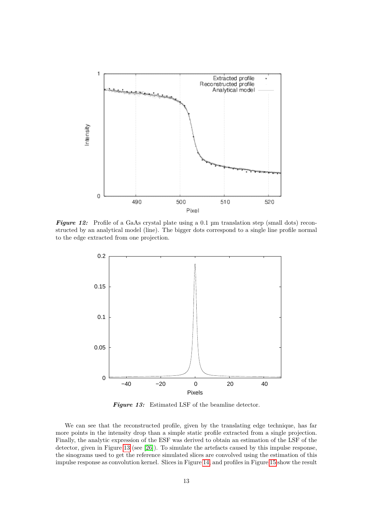<span id="page-13-0"></span>

<span id="page-13-1"></span>*Figure 12:* Profile of a GaAs crystal plate using a 0.1 µm translation step (small dots) reconstructed by an analytical model (line). The bigger dots correspond to a single line profile normal to the edge extracted from one projection.



*Figure 13:* Estimated LSF of the beamline detector.

We can see that the reconstructed profile, given by the translating edge technique, has far more points in the intensity drop than a simple static profile extracted from a single projection. Finally, the analytic expression of the ESF was derived to obtain an estimation of the LSF of the detector, given in Figure [13](#page-13-1) (see [\[26\]](#page-19-13)). To simulate the artefacts caused by this impulse response, the sinograms used to get the reference simulated slices are convolved using the estimation of this impulse response as convolution kernel. Slices in Figure [14,](#page-14-0) and profiles in Figure [15](#page-14-1) show the result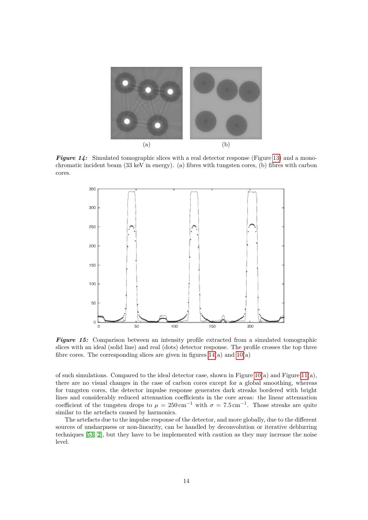<span id="page-14-0"></span>

**Figure 14:** Simulated tomographic slices with a real detector response (Figure [13\)](#page-13-1) and a monochromatic incident beam (33 keV in energy). (a) fibres with tungsten cores, (b) fibres with carbon cores.

<span id="page-14-1"></span>

*Figure 15:* Comparison between an intensity profile extracted from a simulated tomographic slices with an ideal (solid line) and real (dots) detector response. The profile crosses the top three fibre cores. The corresponding slices are given in figures  $14(a)$  and  $10(a)$ 

of such simulations. Compared to the ideal detector case, shown in Figure [10\(](#page-11-1)a) and Figure [11\(](#page-11-2)a), there are no visual changes in the case of carbon cores except for a global smoothing, whereas for tungsten cores, the detector impulse response generates dark streaks bordered with bright lines and considerably reduced attenuation coefficients in the core areas: the linear attenuation coefficient of the tungsten drops to  $\mu = 250 \,\mathrm{cm}^{-1}$  with  $\sigma = 7.5 \,\mathrm{cm}^{-1}$ . Those streaks are quite similar to the artefacts caused by harmonics.

The artefacts due to the impulse response of the detector, and more globally, due to the different sources of unsharpness or non-linearity, can be handled by deconvolution or iterative deblurring techniques [\[53,](#page-21-8) [2\]](#page-18-8), but they have to be implemented with caution as they may increase the noise level.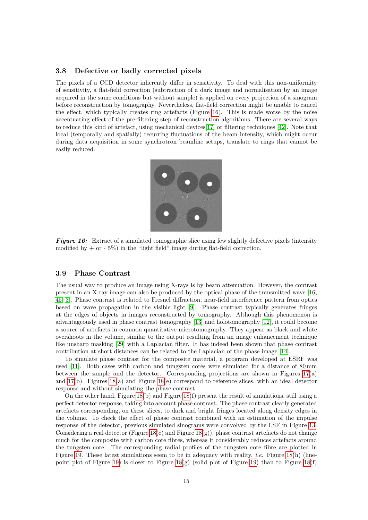#### <span id="page-15-0"></span>**3.8 Defective or badly corrected pixels**

<span id="page-15-2"></span>The pixels of a CCD detector inherently differ in sensitivity. To deal with this non-uniformity of sensitivity, a flat-field correction (subtraction of a dark image and normalisation by an image acquired in the same conditions but without sample) is applied on every projection of a sinogram before reconstruction by tomography. Nevertheless, flat-field correction might be unable to cancel the effect, which typically creates ring artefacts (Figure [16\)](#page-15-2). This is made worse by the noise accentuating effect of the pre-filtering step of reconstruction algorithms. There are several ways to reduce this kind of artefact, using mechanical devices[\[17\]](#page-19-14) or filtering techniques [\[42\]](#page-20-13). Note that local (temporally and spatially) recurring fluctuations of the beam intensity, which might occur during data acquisition in some synchrotron beamline setups, translate to rings that cannot be easily reduced.



*Figure 16:* Extract of a simulated tomographic slice using few slightly defective pixels (intensity modified by  $+$  or  $-5\%$  in the "light field" image during flat-field correction.

#### <span id="page-15-1"></span>**3.9 Phase Contrast**

The usual way to produce an image using X-rays is by beam attenuation. However, the contrast present in an X-ray image can also be produced by the optical phase of the transmitted wave [\[16,](#page-19-15) [45,](#page-20-14) [3\]](#page-18-9). Phase contrast is related to Fresnel diffraction, near-field interference pattern from optics based on wave propagation in the visible light [\[9\]](#page-18-10). Phase contrast typically generates fringes at the edges of objects in images reconstructed by tomography. Although this phenomenon is advantageously used in phase contrast tomography [\[13\]](#page-19-16) and holotomography [\[12\]](#page-18-11), it could become a source of artefacts in common quantitative microtomography. They appear as black and white overshoots in the volume, similar to the output resulting from an image enhancement technique like unsharp masking [\[29\]](#page-19-6) with a Laplacian filter. It has indeed been shown that phase contrast contribution at short distances can be related to the Laplacian of the phase image [\[14\]](#page-19-7).

To simulate phase contrast for the composite material, a program developed at ESRF was used [\[11\]](#page-18-1). Both cases with carbon and tungsten cores were simulated for a distance of 80 mm between the sample and the detector. Corresponding projections are shown in Figures [17\(](#page-16-0)a) and [17\(](#page-16-0)b). Figures [18\(](#page-17-0)a) and Figure [18\(](#page-17-0)e) correspond to reference slices, with an ideal detector response and without simulating the phase contrast.

On the other hand, Figure [18\(](#page-17-0)b) and Figure 18(f) present the result of simulations, still using a perfect detector response, taking into account phase contrast. The phase contrast clearly generated artefacts corresponding, on these slices, to dark and bright fringes located along density edges in the volume. To check the effect of phase contrast combined with an estimation of the impulse response of the detector, previous simulated sinograms were convolved by the LSF in Figure [13.](#page-13-1) Considering a real detector (Figure [18\(](#page-17-0)c) and Figure 18(g)), phase contrast artefacts do not change much for the composite with carbon core fibres, whereas it considerably reduces artefacts around the tungsten core. The corresponding radial profiles of the tungsten core fibre are plotted in Figure [19.](#page-17-1) These latest simulations seem to be in adequacy with reality, *i.e.* Figure [18\(](#page-17-0)h) (line-point plot of Figure [19\)](#page-17-1) is closer to Figure  $18(g)$  (solid plot of Figure 19) than to Figure  $18(f)$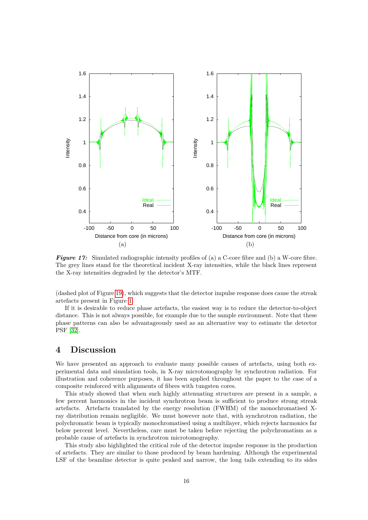<span id="page-16-0"></span>

*Figure 17:* Simulated radiographic intensity profiles of (a) a C-core fibre and (b) a W-core fibre. The grey lines stand for the theoretical incident X-ray intensities, while the black lines represent the X-ray intensities degraded by the detector's MTF.

(dashed plot of Figure [19\)](#page-17-1), which suggests that the detector impulse response does cause the streak artefacts present in Figure [1.](#page-3-1)

If it is desirable to reduce phase artefacts, the easiest way is to reduce the detector-to-object distance. This is not always possible, for example due to the sample environment. Note that these phase patterns can also be advantageously used as an alternative way to estimate the detector PSF [\[32\]](#page-20-15).

## **4 Discussion**

We have presented an approach to evaluate many possible causes of artefacts, using both experimental data and simulation tools, in X-ray microtomography by synchrotron radiation. For illustration and coherence purposes, it has been applied throughout the paper to the case of a composite reinforced with alignments of fibres with tungsten cores.

This study showed that when such highly attenuating structures are present in a sample, a few percent harmonics in the incident synchrotron beam is sufficient to produce strong streak artefacts. Artefacts translated by the energy resolution (FWHM) of the monochromatised Xray distribution remain negligible. We must however note that, with synchrotron radiation, the polychromatic beam is typically monochromatised using a multilayer, which rejects harmonics far below percent level. Nevertheless, care must be taken before rejecting the polychromatism as a probable cause of artefacts in synchrotron microtomography.

This study also highlighted the critical role of the detector impulse response in the production of artefacts. They are similar to those produced by beam hardening. Although the experimental LSF of the beamline detector is quite peaked and narrow, the long tails extending to its sides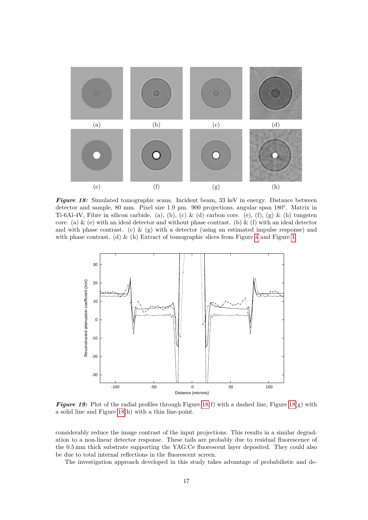<span id="page-17-0"></span>

**Figure 18:** Simulated tomographic scans. Incident beam, 33 keV in energy. Distance between detector and sample, 80 mm. Pixel size 1.9 µm. 900 projections, angular span 180°. Matrix in Ti-6Al-4V, Fibre in silicon carbide. (a), (b), (c) & (d) carbon core. (e), (f), (g) & (h) tungsten core. (a)  $\&$  (e) with an ideal detector and without phase contrast. (b)  $\&$  (f) with an ideal detector and with phase contrast. (c) &  $(g)$  with a detector (using an estimated impulse response) and with phase contrast. (d) & (h) Extract of tomographic slices from Figure [4](#page-5-1) and Figure [1.](#page-3-1)

<span id="page-17-1"></span>

**Figure 19:** Plot of the radial profiles through Figure [18\(](#page-17-0)f) with a dashed line, Figure 18(g) with a solid line and Figure [18\(](#page-17-0)h) with a thin line-point.

considerably reduce the image contrast of the input projections. This results in a similar degradation to a non-linear detector response. These tails are probably due to residual fluorescence of the 0*.*5 mm thick substrate supporting the YAG:Ce fluorescent layer deposited. They could also be due to total internal reflections in the fluorescent screen.

The investigation approach developed in this study takes advantage of probabilistic and de-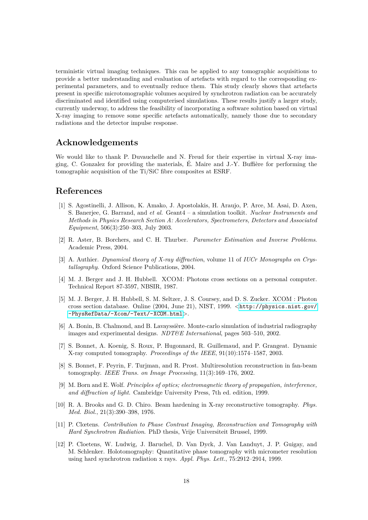terministic virtual imaging techniques. This can be applied to any tomographic acquisitions to provide a better understanding and evaluation of artefacts with regard to the corresponding experimental parameters, and to eventually reduce them. This study clearly shows that artefacts present in specific microtomographic volumes acquired by synchrotron radiation can be accurately discriminated and identified using computerised simulations. These results justify a larger study, currently underway, to address the feasibility of incorporating a software solution based on virtual X-ray imaging to remove some specific artefacts automatically, namely those due to secondary radiations and the detector impulse response.

## **Acknowledgements**

We would like to thank P. Duvauchelle and N. Freud for their expertise in virtual X-ray imaging, C. Gonzalez for providing the materials, É. Maire and J.-Y. Buffière for performing the tomographic acquisition of the Ti/SiC fibre composites at ESRF.

## **References**

- <span id="page-18-3"></span>[1] S. Agostinelli, J. Allison, K. Amako, J. Apostolakis, H. Araujo, P. Arce, M. Asai, D. Axen, S. Banerjee, G. Barrand, and *et al.* Geant4 – a simulation toolkit. *Nuclear Instruments and Methods in Physics Research Section A: Accelerators, Spectrometers, Detectors and Associated Equipment*, 506(3):250–303, July 2003.
- <span id="page-18-8"></span>[2] R. Aster, B. Borchers, and C. H. Thurber. *Parameter Estimation and Inverse Problems*. Academic Press, 2004.
- <span id="page-18-9"></span>[3] A. Authier. *Dynamical theory of X-ray diffraction*, volume 11 of *IUCr Monographs on Crystallography*. Oxford Science Publications, 2004.
- <span id="page-18-4"></span>[4] M. J. Berger and J. H. Hubbell. XCOM: Photons cross sections on a personal computer. Technical Report 87-3597, NBSIR, 1987.
- <span id="page-18-5"></span>[5] M. J. Berger, J. H. Hubbell, S. M. Seltzer, J. S. Coursey, and D. S. Zucker. XCOM : Photon cross section database. Online (2004, June 21), NIST, 1999. <[http://physics.nist.gov/](http://physics.nist.gov/-PhysRefData/-Xcom/-Text/-XCOM.html) [-PhysRefData/-Xcom/-Text/-XCOM.html](http://physics.nist.gov/-PhysRefData/-Xcom/-Text/-XCOM.html)>.
- <span id="page-18-2"></span>[6] A. Bonin, B. Chalmond, and B. Lavayssière. Monte-carlo simulation of industrial radiography images and experimental designs. *NDT&E International*, pages 503–510, 2002.
- <span id="page-18-6"></span>[7] S. Bonnet, A. Koenig, S. Roux, P. Hugonnard, R. Guillemaud, and P. Grangeat. Dynamic X-ray computed tomography. *Proceedings of the IEEE*, 91(10):1574–1587, 2003.
- <span id="page-18-7"></span>[8] S. Bonnet, F. Peyrin, F. Turjman, and R. Prost. Multiresolution reconstruction in fan-beam tomography. *IEEE Trans. on Image Processing*, 11(3):169–176, 2002.
- <span id="page-18-10"></span>[9] M. Born and E. Wolf. *Principles of optics; electromagnetic theory of propagation, interference, and diffraction of light*. Cambridge University Press, 7th ed. edition, 1999.
- <span id="page-18-0"></span>[10] R. A. Brooks and G. D. Chiro. Beam hardening in X-ray reconstructive tomography. *Phys. Med. Biol.*, 21(3):390–398, 1976.
- <span id="page-18-1"></span>[11] P. Clœtens. *Contribution to Phase Contrast Imaging, Reconstruction and Tomography with Hard Synchrotron Radiation*. PhD thesis, Vrije Universiteit Brussel, 1999.
- <span id="page-18-11"></span>[12] P. Cloetens, W. Ludwig, J. Baruchel, D. Van Dyck, J. Van Landuyt, J. P. Guigay, and M. Schlenker. Holotomography: Quantitative phase tomography with micrometer resolution using hard synchrotron radiation x rays. *Appl. Phys. Lett.*, 75:2912–2914, 1999.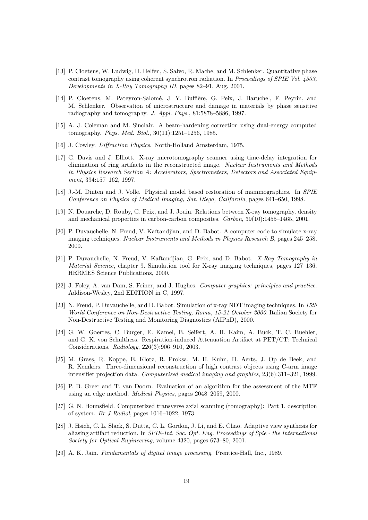- <span id="page-19-16"></span>[13] P. Cloetens, W. Ludwig, H. Helfen, S. Salvo, R. Mache, and M. Schlenker. Quantitative phase contrast tomography using coherent synchrotron radiation. In *Proceedings of SPIE Vol. 4503, Developments in X-Ray Tomography III*, pages 82–91, Aug. 2001.
- <span id="page-19-7"></span>[14] P. Cloetens, M. Pateyron-Salomé, J. Y. Buffière, G. Peix, J. Baruchel, F. Peyrin, and M. Schlenker. Observation of microstructure and damage in materials by phase sensitive radiography and tomography. *J. Appl. Phys.*, 81:5878–5886, 1997.
- <span id="page-19-12"></span>[15] A. J. Coleman and M. Sinclair. A beam-hardening correction using dual-energy computed tomography. *Phys. Med. Biol.*, 30(11):1251–1256, 1985.
- <span id="page-19-15"></span>[16] J. Cowley. *Diffraction Physics*. North-Holland Amsterdam, 1975.
- <span id="page-19-14"></span>[17] G. Davis and J. Elliott. X-ray microtomography scanner using time-delay integration for elimination of ring artifacts in the reconstructed image. *Nuclear Instruments and Methods in Physics Research Section A: Accelerators, Spectrometers, Detectors and Associated Equipment*, 394:157–162, 1997.
- <span id="page-19-9"></span>[18] J.-M. Dinten and J. Volle. Physical model based restoration of mammographies. In *SPIE Conference on Physics of Medical Imaging, San Diego, California*, pages 641–650, 1998.
- <span id="page-19-11"></span>[19] N. Douarche, D. Rouby, G. Peix, and J. Jouin. Relations between X-ray tomography, density and mechanical properties in carbon-carbon composites. *Carbon*, 39(10):1455–1465, 2001.
- <span id="page-19-4"></span>[20] P. Duvauchelle, N. Freud, V. Kaftandjian, and D. Babot. A computer code to simulate x-ray imaging techniques. *Nuclear Instruments and Methods in Physics Research B*, pages 245–258, 2000.
- <span id="page-19-8"></span>[21] P. Duvauchelle, N. Freud, V. Kaftandjian, G. Peix, and D. Babot. *X-Ray Tomography in Material Science*, chapter 9. Simulation tool for X-ray imaging techniques, pages 127–136. HERMES Science Publications, 2000.
- <span id="page-19-3"></span>[22] J. Foley, A. van Dam, S. Feiner, and J. Hughes. *Computer graphics: principles and practice*. Addison-Wesley, 2nd EDITION in C, 1997.
- <span id="page-19-5"></span>[23] N. Freud, P. Duvauchelle, and D. Babot. Simulation of x-ray NDT imaging techniques. In *15th World Conference on Non-Destructive Testing, Roma, 15-21 October 2000*. Italian Society for Non-Destructive Testing and Monitoring Diagnostics (AIPnD), 2000.
- <span id="page-19-2"></span>[24] G. W. Goerres, C. Burger, E. Kamel, B. Seifert, A. H. Kaim, A. Buck, T. C. Buehler, and G. K. von Schulthess. Respiration-induced Attenuation Artifact at PET/CT: Technical Considerations. *Radiology*, 226(3):906–910, 2003.
- <span id="page-19-10"></span>[25] M. Grass, R. Koppe, E. Klotz, R. Proksa, M. H. Kuhn, H. Aerts, J. Op de Beek, and R. Kemkers. Three-dimensional reconstruction of high contrast objects using C-arm image intensifier projection data. *Computerized medical imaging and graphics*, 23(6):311–321, 1999.
- <span id="page-19-13"></span>[26] P. B. Greer and T. van Doorn. Evaluation of an algorithm for the assessment of the MTF using an edge method. *Medical Physics*, pages 2048–2059, 2000.
- <span id="page-19-0"></span>[27] G. N. Hounsfield. Computerized transverse axial scanning (tomography): Part 1. description of system. *Br J Radiol*, pages 1016–1022, 1973.
- <span id="page-19-1"></span>[28] J. Hsieh, C. L. Slack, S. Dutta, C. L. Gordon, J. Li, and E. Chao. Adaptive view synthesis for aliasing artifact reduction. In *SPIE-Int. Soc. Opt. Eng. Proceedings of Spie - the International Society for Optical Engineering*, volume 4320, pages 673–80, 2001.
- <span id="page-19-6"></span>[29] A. K. Jain. *Fundamentals of digital image processing*. Prentice-Hall, Inc., 1989.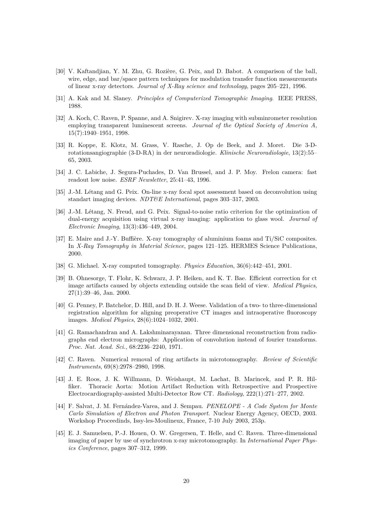- <span id="page-20-12"></span>[30] V. Kaftandjian, Y. M. Zhu, G. Rozière, G. Peix, and D. Babot. A comparison of the ball, wire, edge, and bar/space pattern techniques for modulation transfer function measurements of linear x-ray detectors. *Journal of X-Ray science and technology*, pages 205–221, 1996.
- <span id="page-20-0"></span>[31] A. Kak and M. Slaney. *Principles of Computerized Tomographic Imaging*. IEEE PRESS, 1988.
- <span id="page-20-15"></span>[32] A. Koch, C. Raven, P. Spanne, and A. Snigirev. X-ray imaging with subminrometer resolution employing transparent luminescent screens. *Journal of the Optical Society of America A*, 15(7):1940–1951, 1998.
- <span id="page-20-10"></span>[33] R. Koppe, E. Klotz, M. Grass, V. Rasche, J. Op de Beek, and J. Moret. Die 3-Drotationsangiographie (3-D-RA) in der neuroradiologie. *Klinische Neuroradiologie*, 13(2):55– 65, 2003.
- <span id="page-20-8"></span>[34] J. C. Labiche, J. Segura-Puchades, D. Van Brussel, and J. P. Moy. Frelon camera: fast readout low noise. *ESRF Newsletter*, 25:41–43, 1996.
- <span id="page-20-11"></span>[35] J.-M. Létang and G. Peix. On-line x-ray focal spot assessment based on deconvolution using standart imaging devices. *NDT&E International*, pages 303–317, 2003.
- <span id="page-20-5"></span>[36] J.-M. Létang, N. Freud, and G. Peix. Signal-to-noise ratio criterion for the optimization of dual-energy acquisition using virtual x-ray imaging: application to glass wool. *Journal of Electronic Imaging*, 13(3):436–449, 2004.
- <span id="page-20-2"></span>[37] E. Maire and J.-Y. Buffière. X-ray tomography of aluminium foams and Ti/SiC composites. In *X-Ray Tomography in Material Science*, pages 121–125. HERMES Science Publications, 2000.
- <span id="page-20-1"></span>[38] G. Michael. X-ray computed tomography. *Physics Education*, 36(6):442–451, 2001.
- <span id="page-20-3"></span>[39] B. Ohnesorge, T. Flohr, K. Schwarz, J. P. Heiken, and K. T. Bae. Efficient correction for ct image artifacts caused by objects extending outside the scan field of view. *Medical Physics*, 27(1):39–46, Jan. 2000.
- <span id="page-20-6"></span>[40] G. Penney, P. Batchelor, D. Hill, and D. H. J. Weese. Validation of a two- to three-dimensional registration algorithm for aligning preoperative CT images and intraoperative fluoroscopy images. *Medical Physics*, 28(6):1024–1032, 2001.
- <span id="page-20-9"></span>[41] G. Ramachandran and A. Lakshminarayanan. Three dimensional reconstruction from radiographs end electron micrographs: Application of convolution instead of fourier transforms. *Proc. Nat. Acad. Sci.*, 68:2236–2240, 1971.
- <span id="page-20-13"></span>[42] C. Raven. Numerical removal of ring artifacts in microtomography. *Review of Scientific Instruments*, 69(8):2978–2980, 1998.
- <span id="page-20-4"></span>[43] J. E. Roos, J. K. Willmann, D. Weishaupt, M. Lachat, B. Marincek, and P. R. Hilfiker. Thoracic Aorta: Motion Artifact Reduction with Retrospective and Prospective Electrocardiography-assisted Multi-Detector Row CT. *Radiology*, 222(1):271–277, 2002.
- <span id="page-20-7"></span>[44] F. Salvat, J. M. Fernández-Varea, and J. Sempau. *PENELOPE - A Code System for Monte Carlo Simulation of Electron and Photon Transport*. Nuclear Energy Agency, OECD, 2003. Workshop Proceedinds, Issy-les-Moulineux, France, 7-10 July 2003, 253p.
- <span id="page-20-14"></span>[45] E. J. Samuelsen, P.-J. Houen, O. W. Gregersen, T. Helle, and C. Raven. Three-dimensional imaging of paper by use of synchrotron x-ray microtomography. In *International Paper Physics Conference*, pages 307–312, 1999.